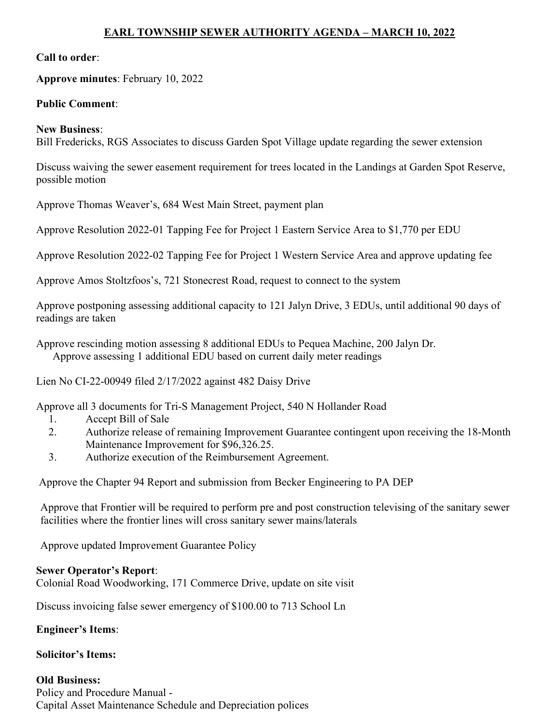# EARL TOWNSHIP SEWER AUTHORITY AGENDA – MARCH 10, 2022

### Call to order:

Approve minutes: February 10, 2022

### Public Comment:

#### New Business:

Bill Fredericks, RGS Associates to discuss Garden Spot Village update regarding the sewer extension

Discuss waiving the sewer easement requirement for trees located in the Landings at Garden Spot Reserve, possible motion

Approve Thomas Weaver's, 684 West Main Street, payment plan

Approve Resolution 2022-01 Tapping Fee for Project 1 Eastern Service Area to \$1,770 per EDU

Approve Resolution 2022-02 Tapping Fee for Project 1 Western Service Area and approve updating fee

Approve Amos Stoltzfoos's, 721 Stonecrest Road, request to connect to the system

Approve postponing assessing additional capacity to 121 Jalyn Drive, 3 EDUs, until additional 90 days of readings are taken

Approve rescinding motion assessing 8 additional EDUs to Pequea Machine, 200 Jalyn Dr. Approve assessing 1 additional EDU based on current daily meter readings

Lien No CI-22-00949 filed 2/17/2022 against 482 Daisy Drive

Approve all 3 documents for Tri-S Management Project, 540 N Hollander Road

- 1. Accept Bill of Sale
- 2. Authorize release of remaining Improvement Guarantee contingent upon receiving the 18-Month Maintenance Improvement for \$96,326.25.
- 3. Authorize execution of the Reimbursement Agreement.

Approve the Chapter 94 Report and submission from Becker Engineering to PA DEP

Approve that Frontier will be required to perform pre and post construction televising of the sanitary sewer facilities where the frontier lines will cross sanitary sewer mains/laterals

Approve updated Improvement Guarantee Policy

#### Sewer Operator's Report:

Colonial Road Woodworking, 171 Commerce Drive, update on site visit

Discuss invoicing false sewer emergency of \$100.00 to 713 School Ln

## Engineer's Items:

## Solicitor's Items:

Old Business: Policy and Procedure Manual - Capital Asset Maintenance Schedule and Depreciation polices